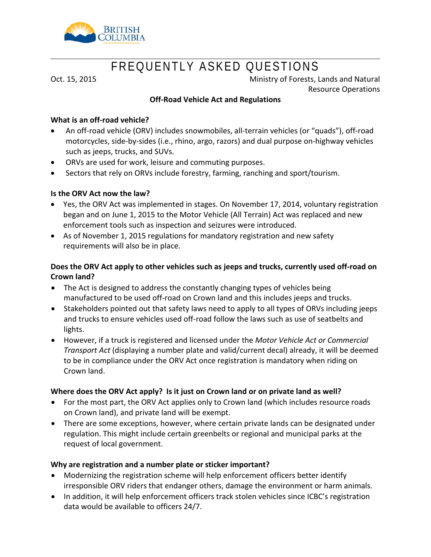

# FREQUENTLY ASKED QUESTIONS

Oct. 15, 2015 **Oct. 15, 2015** Ministry of Forests, Lands and Natural Resource Operations

#### **Off-Road Vehicle Act and Regulations**

#### **What is an off-road vehicle?**

- An off-road vehicle (ORV) includes snowmobiles, all-terrain vehicles (or "quads"), off-road motorcycles, side-by-sides (i.e., rhino, argo, razors) and dual purpose on-highway vehicles such as jeeps, trucks, and SUVs.
- ORVs are used for work, leisure and commuting purposes.
- Sectors that rely on ORVs include forestry, farming, ranching and sport/tourism.

#### **Is the ORV Act now the law?**

- Yes, the ORV Act was implemented in stages. On November 17, 2014, voluntary registration began and on June 1, 2015 to the Motor Vehicle (All Terrain) Act was replaced and new enforcement tools such as inspection and seizures were introduced.
- As of November 1, 2015 regulations for mandatory registration and new safety requirements will also be in place.

## **Does the ORV Act apply to other vehicles such as jeeps and trucks, currently used off-road on Crown land?**

- The Act is designed to address the constantly changing types of vehicles being manufactured to be used off-road on Crown land and this includes jeeps and trucks.
- Stakeholders pointed out that safety laws need to apply to all types of ORVs including jeeps and trucks to ensure vehicles used off-road follow the laws such as use of seatbelts and lights.
- However, if a truck is registered and licensed under the *Motor Vehicle Act or Commercial Transport Act* (displaying a number plate and valid/current decal) already, it will be deemed to be in compliance under the ORV Act once registration is mandatory when riding on Crown land.

#### **Where does the ORV Act apply? Is it just on Crown land or on private land as well?**

- For the most part, the ORV Act applies only to Crown land (which includes resource roads on Crown land), and private land will be exempt.
- There are some exceptions, however, where certain private lands can be designated under regulation. This might include certain greenbelts or regional and municipal parks at the request of local government.

## **Why are registration and a number plate or sticker important?**

- Modernizing the registration scheme will help enforcement officers better identify irresponsible ORV riders that endanger others, damage the environment or harm animals.
- In addition, it will help enforcement officers track stolen vehicles since ICBC's registration data would be available to officers 24/7.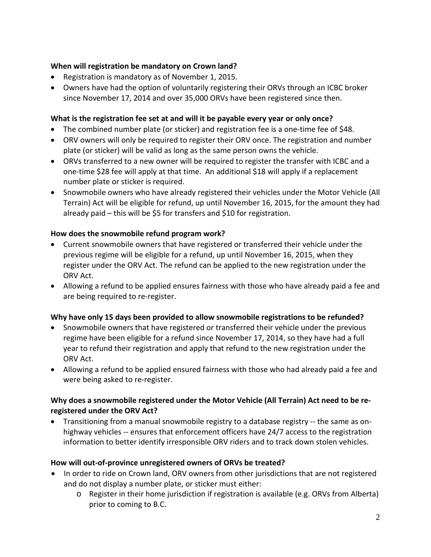## **When will registration be mandatory on Crown land?**

- Registration is mandatory as of November 1, 2015.
- Owners have had the option of voluntarily registering their ORVs through an ICBC broker since November 17, 2014 and over 35,000 ORVs have been registered since then.

## **What is the registration fee set at and will it be payable every year or only once?**

- The combined number plate (or sticker) and registration fee is a one-time fee of \$48.
- ORV owners will only be required to register their ORV once. The registration and number plate (or sticker) will be valid as long as the same person owns the vehicle.
- ORVs transferred to a new owner will be required to register the transfer with ICBC and a one-time \$28 fee will apply at that time. An additional \$18 will apply if a replacement number plate or sticker is required.
- Snowmobile owners who have already registered their vehicles under the Motor Vehicle (All Terrain) Act will be eligible for refund, up until November 16, 2015, for the amount they had already paid – this will be \$5 for transfers and \$10 for registration.

## **How does the snowmobile refund program work?**

- Current snowmobile owners that have registered or transferred their vehicle under the previous regime will be eligible for a refund, up until November 16, 2015, when they register under the ORV Act. The refund can be applied to the new registration under the ORV Act.
- Allowing a refund to be applied ensures fairness with those who have already paid a fee and are being required to re-register.

## **Why have only 15 days been provided to allow snowmobile registrations to be refunded?**

- Snowmobile owners that have registered or transferred their vehicle under the previous regime have been eligible for a refund since November 17, 2014, so they have had a full year to refund their registration and apply that refund to the new registration under the ORV Act.
- Allowing a refund to be applied ensured fairness with those who had already paid a fee and were being asked to re-register.

# **Why does a snowmobile registered under the Motor Vehicle (All Terrain) Act need to be reregistered under the ORV Act?**

• Transitioning from a manual snowmobile registry to a database registry -- the same as onhighway vehicles -- ensures that enforcement officers have 24/7 access to the registration information to better identify irresponsible ORV riders and to track down stolen vehicles.

## **How will out-of-province unregistered owners of ORVs be treated?**

- In order to ride on Crown land, ORV owners from other jurisdictions that are not registered and do not display a number plate, or sticker must either:
	- o Register in their home jurisdiction if registration is available (e.g. ORVs from Alberta) prior to coming to B.C.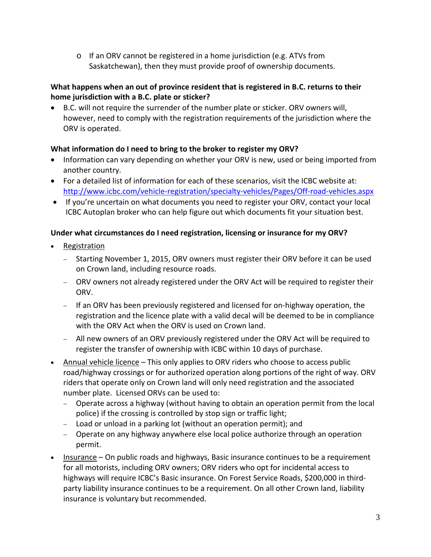o If an ORV cannot be registered in a home jurisdiction (e.g. ATVs from Saskatchewan), then they must provide proof of ownership documents.

# **What happens when an out of province resident that is registered in B.C. returns to their home jurisdiction with a B.C. plate or sticker?**

• B.C. will not require the surrender of the number plate or sticker. ORV owners will, however, need to comply with the registration requirements of the jurisdiction where the ORV is operated.

# **What information do I need to bring to the broker to register my ORV?**

- Information can vary depending on whether your ORV is new, used or being imported from another country.
- For a detailed list of information for each of these scenarios, visit the ICBC website at: <http://www.icbc.com/vehicle-registration/specialty-vehicles/Pages/Off-road-vehicles.aspx>
- If you're uncertain on what documents you need to register your ORV, contact your local ICBC Autoplan broker who can help figure out which documents fit your situation best.

# **Under what circumstances do I need registration, licensing or insurance for my ORV?**

- Registration
	- − Starting November 1, 2015, ORV owners must register their ORV before it can be used on Crown land, including resource roads.
	- − ORV owners not already registered under the ORV Act will be required to register their ORV.
	- − If an ORV has been previously registered and licensed for on-highway operation, the registration and the licence plate with a valid decal will be deemed to be in compliance with the ORV Act when the ORV is used on Crown land.
	- − All new owners of an ORV previously registered under the ORV Act will be required to register the transfer of ownership with ICBC within 10 days of purchase.
- Annual vehicle licence This only applies to ORV riders who choose to access public road/highway crossings or for authorized operation along portions of the right of way. ORV riders that operate only on Crown land will only need registration and the associated number plate. Licensed ORVs can be used to:
	- − Operate across a highway (without having to obtain an operation permit from the local police) if the crossing is controlled by stop sign or traffic light;
	- − Load or unload in a parking lot (without an operation permit); and
	- − Operate on any highway anywhere else local police authorize through an operation permit.
- Insurance On public roads and highways, Basic insurance continues to be a requirement for all motorists, including ORV owners; ORV riders who opt for incidental access to highways will require ICBC's Basic insurance. On Forest Service Roads, \$200,000 in thirdparty liability insurance continues to be a requirement. On all other Crown land, liability insurance is voluntary but recommended.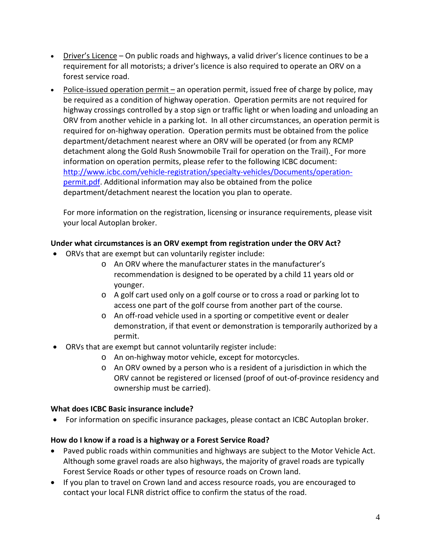- Driver's Licence On public roads and highways, a valid driver's licence continues to be a requirement for all motorists; a driver's licence is also required to operate an ORV on a forest service road.
- Police-issued operation permit an operation permit, issued free of charge by police, may be required as a condition of highway operation. Operation permits are not required for highway crossings controlled by a stop sign or traffic light or when loading and unloading an ORV from another vehicle in a parking lot. In all other circumstances, an operation permit is required for on-highway operation. Operation permits must be obtained from the police department/detachment nearest where an ORV will be operated (or from any RCMP detachment along the Gold Rush Snowmobile Trail for operation on the Trail). For more information on operation permits, please refer to the following ICBC document: [http://www.icbc.com/vehicle-registration/specialty-vehicles/Documents/operation](http://www.icbc.com/vehicle-registration/specialty-vehicles/Documents/operation-permit.pdf)[permit.pdf.](http://www.icbc.com/vehicle-registration/specialty-vehicles/Documents/operation-permit.pdf) Additional information may also be obtained from the police department/detachment nearest the location you plan to operate.

For more information on the registration, licensing or insurance requirements, please visit your local Autoplan broker.

# **Under what circumstances is an ORV exempt from registration under the ORV Act?**

- ORVs that are exempt but can voluntarily register include:
	- o An ORV where the manufacturer states in the manufacturer's recommendation is designed to be operated by a child 11 years old or younger.
	- o A golf cart used only on a golf course or to cross a road or parking lot to access one part of the golf course from another part of the course.
	- o An off-road vehicle used in a sporting or competitive event or dealer demonstration, if that event or demonstration is temporarily authorized by a permit.
- ORVs that are exempt but cannot voluntarily register include:
	- o An on-highway motor vehicle, except for motorcycles.
	- o An ORV owned by a person who is a resident of a jurisdiction in which the ORV cannot be registered or licensed (proof of out-of-province residency and ownership must be carried).

## **What does ICBC Basic insurance include?**

• For information on specific insurance packages, please contact an ICBC Autoplan broker.

## **How do I know if a road is a highway or a Forest Service Road?**

- Paved public roads within communities and highways are subject to the Motor Vehicle Act. Although some gravel roads are also highways, the majority of gravel roads are typically Forest Service Roads or other types of resource roads on Crown land.
- If you plan to travel on Crown land and access resource roads, you are encouraged to contact your local FLNR district office to confirm the status of the road.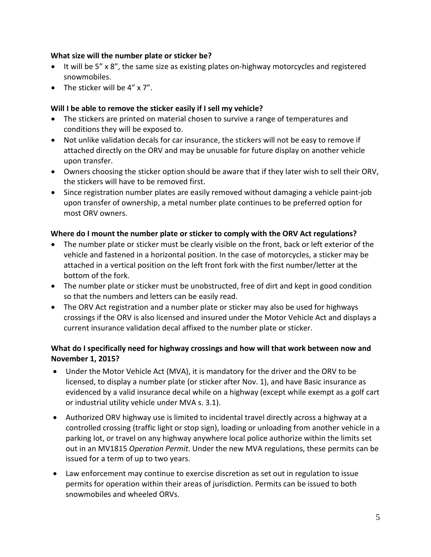#### **What size will the number plate or sticker be?**

- It will be 5" x 8", the same size as existing plates on-highway motorcycles and registered snowmobiles.
- The sticker will be 4" x 7".

### **Will I be able to remove the sticker easily if I sell my vehicle?**

- The stickers are printed on material chosen to survive a range of temperatures and conditions they will be exposed to.
- Not unlike validation decals for car insurance, the stickers will not be easy to remove if attached directly on the ORV and may be unusable for future display on another vehicle upon transfer.
- Owners choosing the sticker option should be aware that if they later wish to sell their ORV, the stickers will have to be removed first.
- Since registration number plates are easily removed without damaging a vehicle paint-job upon transfer of ownership, a metal number plate continues to be preferred option for most ORV owners.

#### **Where do I mount the number plate or sticker to comply with the ORV Act regulations?**

- The number plate or sticker must be clearly visible on the front, back or left exterior of the vehicle and fastened in a horizontal position. In the case of motorcycles, a sticker may be attached in a vertical position on the left front fork with the first number/letter at the bottom of the fork.
- The number plate or sticker must be unobstructed, free of dirt and kept in good condition so that the numbers and letters can be easily read.
- The ORV Act registration and a number plate or sticker may also be used for highways crossings if the ORV is also licensed and insured under the Motor Vehicle Act and displays a current insurance validation decal affixed to the number plate or sticker.

## **What do I specifically need for highway crossings and how will that work between now and November 1, 2015?**

- Under the Motor Vehicle Act (MVA), it is mandatory for the driver and the ORV to be licensed, to display a number plate (or sticker after Nov. 1), and have Basic insurance as evidenced by a valid insurance decal while on a highway (except while exempt as a golf cart or industrial utility vehicle under MVA s. 3.1).
- Authorized ORV highway use is limited to incidental travel directly across a highway at a controlled crossing (traffic light or stop sign), loading or unloading from another vehicle in a parking lot, or travel on any highway anywhere local police authorize within the limits set out in an MV1815 *Operation Permit.* Under the new MVA regulations, these permits can be issued for a term of up to two years.
- Law enforcement may continue to exercise discretion as set out in regulation to issue permits for operation within their areas of jurisdiction. Permits can be issued to both snowmobiles and wheeled ORVs.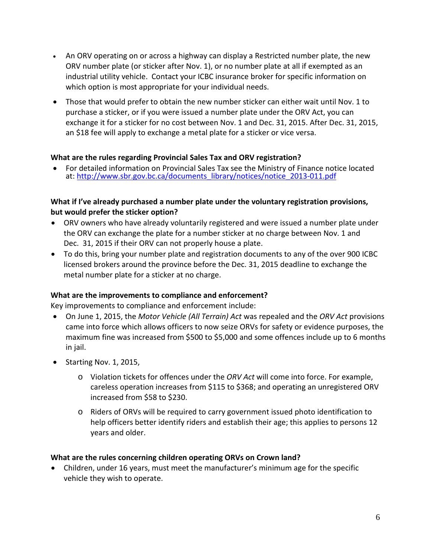- An ORV operating on or across a highway can display a Restricted number plate, the new ORV number plate (or sticker after Nov. 1), or no number plate at all if exempted as an industrial utility vehicle. Contact your ICBC insurance broker for specific information on which option is most appropriate for your individual needs.
- Those that would prefer to obtain the new number sticker can either wait until Nov. 1 to purchase a sticker, or if you were issued a number plate under the ORV Act, you can exchange it for a sticker for no cost between Nov. 1 and Dec. 31, 2015. After Dec. 31, 2015, an \$18 fee will apply to exchange a metal plate for a sticker or vice versa.

#### **What are the rules regarding Provincial Sales Tax and ORV registration?**

• For detailed information on Provincial Sales Tax see the Ministry of Finance notice located at: [http://www.sbr.gov.bc.ca/documents\\_library/notices/notice\\_2013-011.pdf](http://www.sbr.gov.bc.ca/documents_library/notices/notice_2013-011.pdf)

## **What if I've already purchased a number plate under the voluntary registration provisions, but would prefer the sticker option?**

- ORV owners who have already voluntarily registered and were issued a number plate under the ORV can exchange the plate for a number sticker at no charge between Nov. 1 and Dec. 31, 2015 if their ORV can not properly house a plate.
- To do this, bring your number plate and registration documents to any of the over 900 ICBC licensed brokers around the province before the Dec. 31, 2015 deadline to exchange the metal number plate for a sticker at no charge.

## **What are the improvements to compliance and enforcement?**

Key improvements to compliance and enforcement include:

- On June 1, 2015, the *Motor Vehicle (All Terrain) Act* was repealed and the *ORV Act* provisions came into force which allows officers to now seize ORVs for safety or evidence purposes, the maximum fine was increased from \$500 to \$5,000 and some offences include up to 6 months in jail.
- Starting Nov. 1, 2015,
	- o Violation tickets for offences under the *ORV Act* will come into force. For example, careless operation increases from \$115 to \$368; and operating an unregistered ORV increased from \$58 to \$230.
	- o Riders of ORVs will be required to carry government issued photo identification to help officers better identify riders and establish their age; this applies to persons 12 years and older.

#### **What are the rules concerning children operating ORVs on Crown land?**

• Children, under 16 years, must meet the manufacturer's minimum age for the specific vehicle they wish to operate.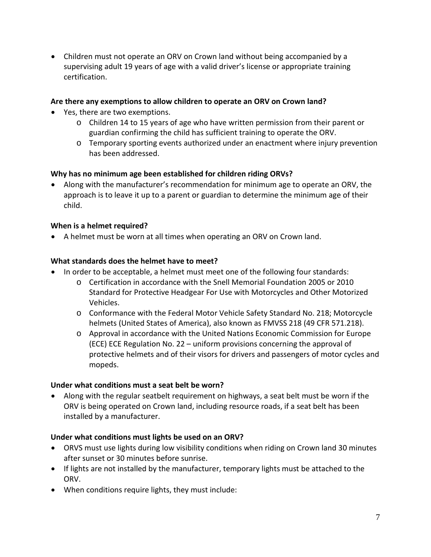• Children must not operate an ORV on Crown land without being accompanied by a supervising adult 19 years of age with a valid driver's license or appropriate training certification.

### **Are there any exemptions to allow children to operate an ORV on Crown land?**

- Yes, there are two exemptions.
	- o Children 14 to 15 years of age who have written permission from their parent or guardian confirming the child has sufficient training to operate the ORV.
	- o Temporary sporting events authorized under an enactment where injury prevention has been addressed.

#### **Why has no minimum age been established for children riding ORVs?**

• Along with the manufacturer's recommendation for minimum age to operate an ORV, the approach is to leave it up to a parent or guardian to determine the minimum age of their child.

#### **When is a helmet required?**

• A helmet must be worn at all times when operating an ORV on Crown land.

#### **What standards does the helmet have to meet?**

- In order to be acceptable, a helmet must meet one of the following four standards:
	- o Certification in accordance with the Snell Memorial Foundation 2005 or 2010 Standard for Protective Headgear For Use with Motorcycles and Other Motorized Vehicles.
	- o Conformance with the Federal Motor Vehicle Safety Standard No. 218; Motorcycle helmets (United States of America), also known as FMVSS 218 (49 CFR 571.218).
	- o Approval in accordance with the United Nations Economic Commission for Europe (ECE) ECE Regulation No. 22 – uniform provisions concerning the approval of protective helmets and of their visors for drivers and passengers of motor cycles and mopeds.

#### **Under what conditions must a seat belt be worn?**

• Along with the regular seatbelt requirement on highways, a seat belt must be worn if the ORV is being operated on Crown land, including resource roads, if a seat belt has been installed by a manufacturer.

#### **Under what conditions must lights be used on an ORV?**

- ORVS must use lights during low visibility conditions when riding on Crown land 30 minutes after sunset or 30 minutes before sunrise.
- If lights are not installed by the manufacturer, temporary lights must be attached to the ORV.
- When conditions require lights, they must include: